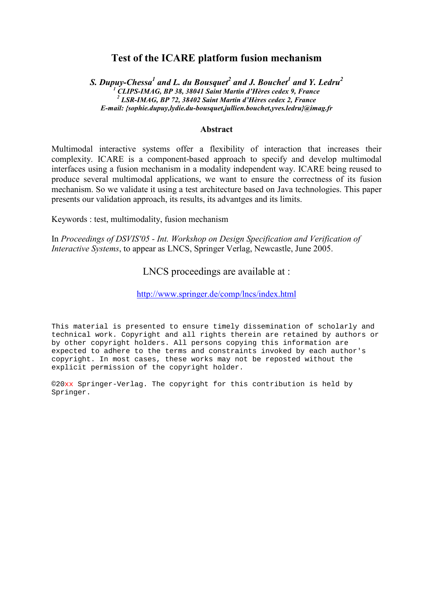# Test of the ICARE platform fusion mechanism

S. Dupuy-Chessa $^l$  and L. du Bousquet $^2$  and J. Bouchet $^l$  and Y. Ledru $^2$ 1 CLIPS-IMAG, BP 38, 38041 Saint Martin d'Hères cedex 9, France  $^{2}$  LSR-IMAG, BP 72, 38402 Saint Martin d'Hères cedex 2, France E-mail: {sophie.dupuy,lydie.du-bousquet,jullien.bouchet,yves.ledru}@imag.fr

## Abstract

Multimodal interactive systems offer a flexibility of interaction that increases their complexity. ICARE is a component-based approach to specify and develop multimodal interfaces using a fusion mechanism in a modality independent way. ICARE being reused to produce several multimodal applications, we want to ensure the correctness of its fusion mechanism. So we validate it using a test architecture based on Java technologies. This paper presents our validation approach, its results, its advantges and its limits.

Keywords : test, multimodality, fusion mechanism

In Proceedings of DSVIS'05 - Int. Workshop on Design Specification and Verification of Interactive Systems, to appear as LNCS, Springer Verlag, Newcastle, June 2005.

# LNCS proceedings are available at :

http://www.springer.de/comp/lncs/index.html

This material is presented to ensure timely dissemination of scholarly and technical work. Copyright and all rights therein are retained by authors or by other copyright holders. All persons copying this information are expected to adhere to the terms and constraints invoked by each author's copyright. In most cases, these works may not be reposted without the explicit permission of the copyright holder.

©20xx Springer-Verlag. The copyright for this contribution is held by Springer.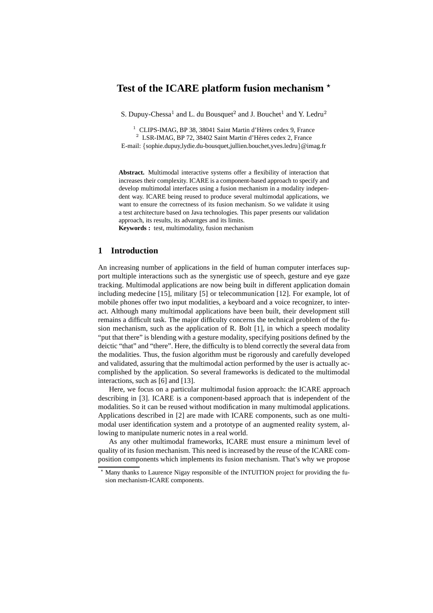# Test of the ICARE platform fusion mechanism  $\star$

S. Dupuy-Chessa<sup>1</sup> and L. du Bousquet<sup>2</sup> and J. Bouchet<sup>1</sup> and Y. Ledru<sup>2</sup>

 $1$  CLIPS-IMAG, BP 38, 38041 Saint Martin d'Hères cedex 9, France  $2$  LSR-IMAG, BP 72, 38402 Saint Martin d'Hères cedex 2, France

E-mail: {sophie.dupuy,lydie.du-bousquet,jullien.bouchet,yves.ledru}@imag.fr

**Abstract.** Multimodal interactive systems offer a flexibility of interaction that increases their complexity. ICARE is a component-based approach to specify and develop multimodal interfaces using a fusion mechanism in a modality independent way. ICARE being reused to produce several multimodal applications, we want to ensure the correctness of its fusion mechanism. So we validate it using a test architecture based on Java technologies. This paper presents our validation approach, its results, its advantges and its limits.

**Keywords :** test, multimodality, fusion mechanism

## **1 Introduction**

An increasing number of applications in the field of human computer interfaces support multiple interactions such as the synergistic use of speech, gesture and eye gaze tracking. Multimodal applications are now being built in different application domain including medecine [15], military [5] or telecommunication [12]. For example, lot of mobile phones offer two input modalities, a keyboard and a voice recognizer, to interact. Although many multimodal applications have been built, their development still remains a difficult task. The major difficulty concerns the technical problem of the fusion mechanism, such as the application of R. Bolt [1], in which a speech modality "put that there" is blending with a gesture modality, specifying positions defined by the deictic "that" and "there". Here, the difficulty is to blend correctly the several data from the modalities. Thus, the fusion algorithm must be rigorously and carefully developed and validated, assuring that the multimodal action performed by the user is actually accomplished by the application. So several frameworks is dedicated to the multimodal interactions, such as [6] and [13].

Here, we focus on a particular multimodal fusion approach: the ICARE approach describing in [3]. ICARE is a component-based approach that is independent of the modalities. So it can be reused without modification in many multimodal applications. Applications described in [2] are made with ICARE components, such as one multimodal user identification system and a prototype of an augmented reality system, allowing to manipulate numeric notes in a real world.

As any other multimodal frameworks, ICARE must ensure a minimum level of quality of its fusion mechanism. This need is increased by the reuse of the ICARE composition components which implements its fusion mechanism. That's why we propose

Many thanks to Laurence Nigay responsible of the INTUITION project for providing the fusion mechanism-ICARE components.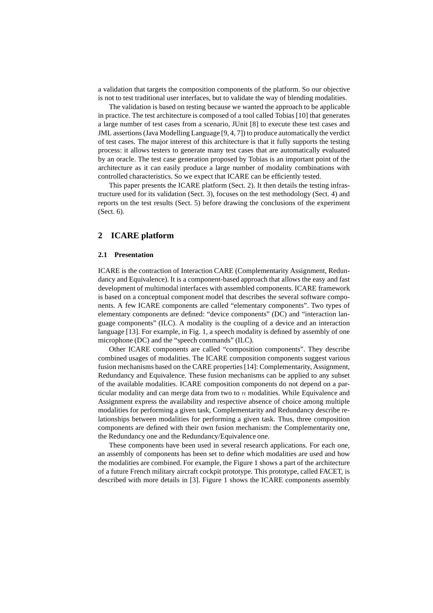a validation that targets the composition components of the platform. So our objective is not to test traditional user interfaces, but to validate the way of blending modalities.

The validation is based on testing because we wanted the approach to be applicable in practice. The test architecture is composed of a tool called Tobias [10] that generates a large number of test cases from a scenario, JUnit [8] to execute these test cases and JML assertions (Java Modelling Language [9, 4, 7]) to produce automatically the verdict of test cases. The major interest of this architecture is that it fully supports the testing process: it allows testers to generate many test cases that are automatically evaluated by an oracle. The test case generation proposed by Tobias is an important point of the architecture as it can easily produce a large number of modality combinations with controlled characteristics. So we expect that ICARE can be efficiently tested.

This paper presents the ICARE platform (Sect. 2). It then details the testing infrastructure used for its validation (Sect. 3), focuses on the test methodology (Sect. 4) and reports on the test results (Sect. 5) before drawing the conclusions of the experiment (Sect. 6).

## **2 ICARE platform**

#### **2.1 Presentation**

ICARE is the contraction of Interaction CARE (Complementarity Assignment, Redundancy and Equivalence). It is a component-based approach that allows the easy and fast development of multimodal interfaces with assembled components. ICARE framework is based on a conceptual component model that describes the several software components. A few ICARE components are called "elementary components". Two types of elementary components are defined: "device components" (DC) and "interaction language components" (ILC). A modality is the coupling of a device and an interaction language [13]. For example, in Fig. 1, a speech modality is defined by assembly of one microphone (DC) and the "speech commands" (ILC).

Other ICARE components are called "composition components". They describe combined usages of modalities. The ICARE composition components suggest various fusion mechanisms based on the CARE properties [14]: Complementarity, Assignment, Redundancy and Equivalence. These fusion mechanisms can be applied to any subset of the available modalities. ICARE composition components do not depend on a particular modality and can merge data from two to  $n$  modalities. While Equivalence and Assignment express the availability and respective absence of choice among multiple modalities for performing a given task, Complementarity and Redundancy describe relationships between modalities for performing a given task. Thus, three composition components are defined with their own fusion mechanism: the Complementarity one, the Redundancy one and the Redundancy/Equivalence one.

These components have been used in several research applications. For each one, an assembly of components has been set to define which modalities are used and how the modalities are combined. For example, the Figure 1 shows a part of the architecture of a future French military aircraft cockpit prototype. This prototype, called FACET, is described with more details in [3]. Figure 1 shows the ICARE components assembly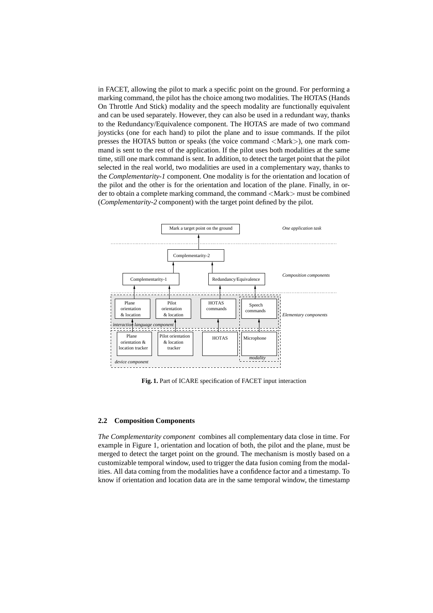in FACET, allowing the pilot to mark a specific point on the ground. For performing a marking command, the pilot has the choice among two modalities. The HOTAS (Hands On Throttle And Stick) modality and the speech modality are functionally equivalent and can be used separately. However, they can also be used in a redundant way, thanks to the Redundancy/Equivalence component. The HOTAS are made of two command joysticks (one for each hand) to pilot the plane and to issue commands. If the pilot presses the HOTAS button or speaks (the voice command <Mark>), one mark command is sent to the rest of the application. If the pilot uses both modalities at the same time, still one mark command is sent. In addition, to detect the target point that the pilot selected in the real world, two modalities are used in a complementary way, thanks to the *Complementarity-1* component. One modality is for the orientation and location of the pilot and the other is for the orientation and location of the plane. Finally, in order to obtain a complete marking command, the command <Mark> must be combined (*Complementarity-2* component) with the target point defined by the pilot.



**Fig. 1.** Part of ICARE specification of FACET input interaction

### **2.2 Composition Components**

*The Complementarity component* combines all complementary data close in time. For example in Figure 1, orientation and location of both, the pilot and the plane, must be merged to detect the target point on the ground. The mechanism is mostly based on a customizable temporal window, used to trigger the data fusion coming from the modalities. All data coming from the modalities have a confidence factor and a timestamp. To know if orientation and location data are in the same temporal window, the timestamp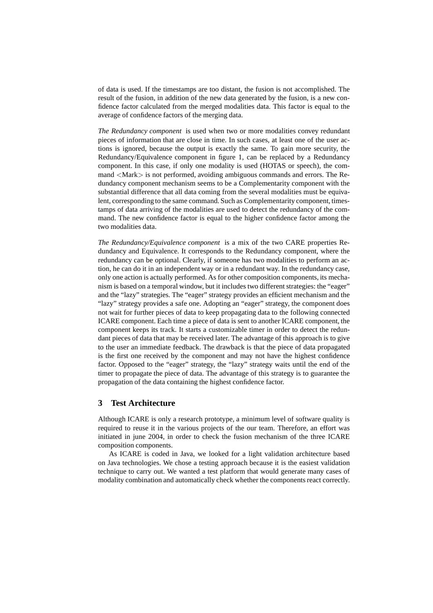of data is used. If the timestamps are too distant, the fusion is not accomplished. The result of the fusion, in addition of the new data generated by the fusion, is a new confidence factor calculated from the merged modalities data. This factor is equal to the average of confidence factors of the merging data.

*The Redundancy component* is used when two or more modalities convey redundant pieces of information that are close in time. In such cases, at least one of the user actions is ignored, because the output is exactly the same. To gain more security, the Redundancy/Equivalence component in figure 1, can be replaced by a Redundancy component. In this case, if only one modality is used (HOTAS or speech), the command <Mark> is not performed, avoiding ambiguous commands and errors. The Redundancy component mechanism seems to be a Complementarity component with the substantial difference that all data coming from the several modalities must be equivalent, corresponding to the same command. Such as Complementarity component, timestamps of data arriving of the modalities are used to detect the redundancy of the command. The new confidence factor is equal to the higher confidence factor among the two modalities data.

*The Redundancy/Equivalence component* is a mix of the two CARE properties Redundancy and Equivalence. It corresponds to the Redundancy component, where the redundancy can be optional. Clearly, if someone has two modalities to perform an action, he can do it in an independent way or in a redundant way. In the redundancy case, only one action is actually performed. As for other composition components, its mechanism is based on a temporal window, but it includes two different strategies: the "eager" and the "lazy" strategies. The "eager" strategy provides an efficient mechanism and the "lazy" strategy provides a safe one. Adopting an "eager" strategy, the component does not wait for further pieces of data to keep propagating data to the following connected ICARE component. Each time a piece of data is sent to another ICARE component, the component keeps its track. It starts a customizable timer in order to detect the redundant pieces of data that may be received later. The advantage of this approach is to give to the user an immediate feedback. The drawback is that the piece of data propagated is the first one received by the component and may not have the highest confidence factor. Opposed to the "eager" strategy, the "lazy" strategy waits until the end of the timer to propagate the piece of data. The advantage of this strategy is to guarantee the propagation of the data containing the highest confidence factor.

## **3 Test Architecture**

Although ICARE is only a research prototype, a minimum level of software quality is required to reuse it in the various projects of the our team. Therefore, an effort was initiated in june 2004, in order to check the fusion mechanism of the three ICARE composition components.

As ICARE is coded in Java, we looked for a light validation architecture based on Java technologies. We chose a testing approach because it is the easiest validation technique to carry out. We wanted a test platform that would generate many cases of modality combination and automatically check whether the components react correctly.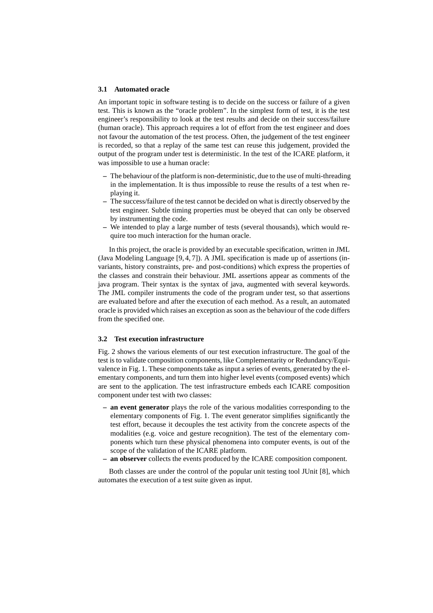#### **3.1 Automated oracle**

An important topic in software testing is to decide on the success or failure of a given test. This is known as the "oracle problem". In the simplest form of test, it is the test engineer's responsibility to look at the test results and decide on their success/failure (human oracle). This approach requires a lot of effort from the test engineer and does not favour the automation of the test process. Often, the judgement of the test engineer is recorded, so that a replay of the same test can reuse this judgement, provided the output of the program under test is deterministic. In the test of the ICARE platform, it was impossible to use a human oracle:

- **–** The behaviour of the platform is non-deterministic, due to the use of multi-threading in the implementation. It is thus impossible to reuse the results of a test when replaying it.
- **–** The success/failure of the test cannot be decided on what is directly observed by the test engineer. Subtle timing properties must be obeyed that can only be observed by instrumenting the code.
- **–** We intended to play a large number of tests (several thousands), which would require too much interaction for the human oracle.

In this project, the oracle is provided by an executable specification, written in JML (Java Modeling Language [9, 4, 7]). A JML specification is made up of assertions (invariants, history constraints, pre- and post-conditions) which express the properties of the classes and constrain their behaviour. JML assertions appear as comments of the java program. Their syntax is the syntax of java, augmented with several keywords. The JML compiler instruments the code of the program under test, so that assertions are evaluated before and after the execution of each method. As a result, an automated oracle is provided which raises an exception as soon as the behaviour of the code differs from the specified one.

#### **3.2 Test execution infrastructure**

Fig. 2 shows the various elements of our test execution infrastructure. The goal of the test is to validate composition components, like Complementarity or Redundancy/Equivalence in Fig. 1. These components take as input a series of events, generated by the elementary components, and turn them into higher level events (composed events) which are sent to the application. The test infrastructure embeds each ICARE composition component under test with two classes:

- **an event generator** plays the role of the various modalities corresponding to the elementary components of Fig. 1. The event generator simplifies significantly the test effort, because it decouples the test activity from the concrete aspects of the modalities (e.g. voice and gesture recognition). The test of the elementary components which turn these physical phenomena into computer events, is out of the scope of the validation of the ICARE platform.
- **an observer** collects the events produced by the ICARE composition component.

Both classes are under the control of the popular unit testing tool JUnit [8], which automates the execution of a test suite given as input.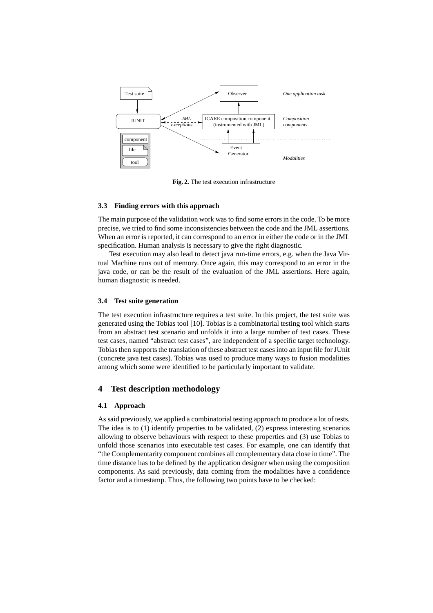

**Fig. 2.** The test execution infrastructure

#### **3.3 Finding errors with this approach**

The main purpose of the validation work was to find some errorsin the code. To be more precise, we tried to find some inconsistencies between the code and the JML assertions. When an error is reported, it can correspond to an error in either the code or in the JML specification. Human analysis is necessary to give the right diagnostic.

Test execution may also lead to detect java run-time errors, e.g. when the Java Virtual Machine runs out of memory. Once again, this may correspond to an error in the java code, or can be the result of the evaluation of the JML assertions. Here again, human diagnostic is needed.

#### **3.4 Test suite generation**

The test execution infrastructure requires a test suite. In this project, the test suite was generated using the Tobias tool [10]. Tobias is a combinatorial testing tool which starts from an abstract test scenario and unfolds it into a large number of test cases. These test cases, named "abstract test cases", are independent of a specific target technology. Tobias then supports the translation of these abstract test cases into an input file for JUnit (concrete java test cases). Tobias was used to produce many ways to fusion modalities among which some were identified to be particularly important to validate.

### **4 Test description methodology**

### **4.1 Approach**

As said previously, we applied a combinatorial testing approach to produce a lot of tests. The idea is to (1) identify properties to be validated, (2) express interesting scenarios allowing to observe behaviours with respect to these properties and (3) use Tobias to unfold those scenarios into executable test cases. For example, one can identify that "the Complementarity component combines all complementary data close in time". The time distance has to be defined by the application designer when using the composition components. As said previously, data coming from the modalities have a confidence factor and a timestamp. Thus, the following two points have to be checked: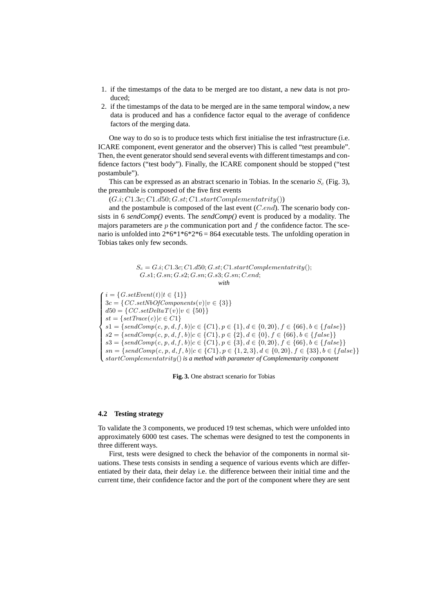- 1. if the timestamps of the data to be merged are too distant, a new data is not produced;
- 2. if the timestamps of the data to be merged are in the same temporal window, a new data is produced and has a confidence factor equal to the average of confidence factors of the merging data.

One way to do so is to produce tests which first initialise the test infrastructure (i.e. ICARE component, event generator and the observer) This is called "test preambule". Then, the event generator should send several events with different timestamps and confidence factors ("test body"). Finally, the ICARE component should be stopped ("test postambule").

This can be expressed as an abstract scenario in Tobias. In the scenario  $S_c$  (Fig. 3), the preambule is composed of the five first events

 $(G.i; C1.3c; C1.d50; G.st; C1.startComplementarity())$ 

and the postambule is composed of the last event  $(C.end)$ . The scenario body consists in 6 *sendComp()* events. The *sendComp()* event is produced by a modality. The majors parameters are  $p$  the communication port and  $f$  the confidence factor. The scenario is unfolded into  $2*6*1*6*2*6 = 864$  executable tests. The unfolding operation in Tobias takes only few seconds.

> $S_c = G.i; C1.3c; C1.450; G.st; C1.startComplementarity();$ G.s1; G.sn; G.s2; G.sn; G.s3; G.sn; C.end; *with*

 $\sqrt{ }$  $\begin{array}{c} \end{array}$   $i = \{G.setEvent(t)|t \in \{1\}\}\$  $3c = \{CC.setNbOfComponents(v)|v \in \{3\}\}\$  $d50 = \{CC.setDeltaT(v)|v \in \{50\}\}\$  $st = \{setTrace(c) | c \in C1\}$  $s1 = {sendComp(c, p, d, f, b)|c \in {C1}, p \in {1}, d \in {0, 20}, f \in {66}, b \in {false}}$  $s2 = {sendComp(c, p, d, f, b)|c \in {C1}, p \in {2}, d \in {0}, f \in {66}, b \in {false}}$  $s3 = {sendComp(c, p, d, f, b)|c \in {C1}, p \in {3}, d \in {0, 20}, f \in {66}, b \in {false}}$  $sn = \{sendComp(c, p, d, f, b)|c \in \{C1\}, p \in \{1, 2, 3\}, d \in \{0, 20\}, f \in \{33\}, b \in \{false\}\}$ startComplementatrity() *is a method with parameter of Complementarity component*

**Fig. 3.** One abstract scenario for Tobias

#### **4.2 Testing strategy**

To validate the 3 components, we produced 19 test schemas, which were unfolded into approximately 6000 test cases. The schemas were designed to test the components in three different ways.

First, tests were designed to check the behavior of the components in normal situations. These tests consists in sending a sequence of various events which are differentiated by their data, their delay i.e. the difference between their initial time and the current time, their confidence factor and the port of the component where they are sent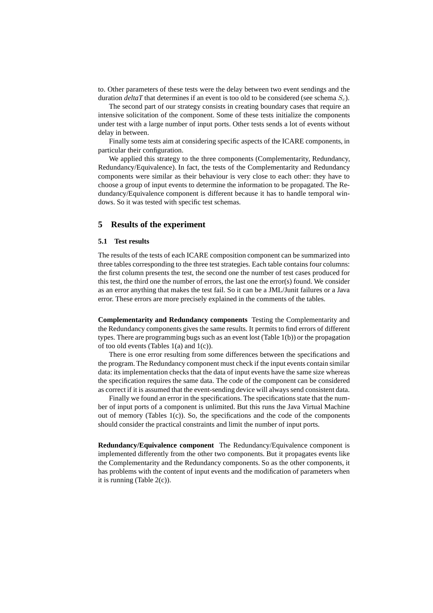to. Other parameters of these tests were the delay between two event sendings and the duration *deltaT* that determines if an event is too old to be considered (see schema  $S_c$ ).

The second part of our strategy consists in creating boundary cases that require an intensive solicitation of the component. Some of these tests initialize the components under test with a large number of input ports. Other tests sends a lot of events without delay in between.

Finally some tests aim at considering specific aspects of the ICARE components, in particular their configuration.

We applied this strategy to the three components (Complementarity, Redundancy, Redundancy/Equivalence). In fact, the tests of the Complementarity and Redundancy components were similar as their behaviour is very close to each other: they have to choose a group of input events to determine the information to be propagated. The Redundancy/Equivalence component is different because it has to handle temporal windows. So it was tested with specific test schemas.

### **5 Results of the experiment**

#### **5.1 Test results**

The results of the tests of each ICARE composition component can be summarized into three tables corresponding to the three test strategies. Each table contains four columns: the first column presents the test, the second one the number of test cases produced for this test, the third one the number of errors, the last one the error(s) found. We consider as an error anything that makes the test fail. So it can be a JML/Junit failures or a Java error. These errors are more precisely explained in the comments of the tables.

**Complementarity and Redundancy components** Testing the Complementarity and the Redundancy components gives the same results. It permits to find errors of different types. There are programming bugs such as an event lost (Table 1(b)) or the propagation of too old events (Tables  $1(a)$  and  $1(c)$ ).

There is one error resulting from some differences between the specifications and the program. The Redundancy component must check if the input events contain similar data: its implementation checks that the data of input events have the same size whereas the specification requires the same data. The code of the component can be considered as correct if it is assumed that the event-sending device will always send consistent data.

Finally we found an error in the specifications. The specifications state that the number of input ports of a component is unlimited. But this runs the Java Virtual Machine out of memory (Tables  $1(c)$ ). So, the specifications and the code of the components should consider the practical constraints and limit the number of input ports.

**Redundancy/Equivalence component** The Redundancy/Equivalence component is implemented differently from the other two components. But it propagates events like the Complementarity and the Redundancy components. So as the other components, it has problems with the content of input events and the modification of parameters when it is running (Table 2(c)).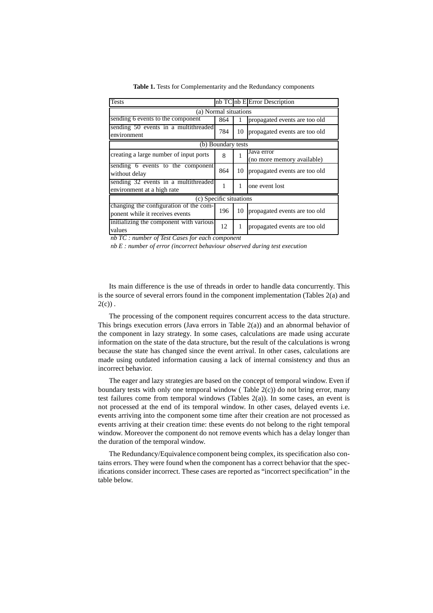| <b>Tests</b>                                                              |     |    | nb TC nb E Error Description             |  |  |
|---------------------------------------------------------------------------|-----|----|------------------------------------------|--|--|
| (a) Normal situations                                                     |     |    |                                          |  |  |
| sending 6 events to the component                                         | 864 |    | propagated events are too old            |  |  |
| sending 50 events in a multithreaded<br>environment                       | 784 | 10 | propagated events are too old            |  |  |
| (b) Boundary tests                                                        |     |    |                                          |  |  |
| creating a large number of input ports                                    | 8   | 1  | Java error<br>(no more memory available) |  |  |
| sending 6 events to the component<br>without delay                        | 864 | 10 | propagated events are too old            |  |  |
| sending 32 events in a multithreaded<br>environment at a high rate        | 1   | 1  | one event lost                           |  |  |
| (c) Specific situations                                                   |     |    |                                          |  |  |
| changing the configuration of the com-<br>ponent while it receives events | 196 | 10 | propagated events are too old            |  |  |
| initializing the component with various<br>values                         | 12  | 1  | propagated events are too old            |  |  |

**Table 1.** Tests for Complementarity and the Redundancy components

*nb TC : number of Test Cases for each component*

*nb E : number of error (incorrect behaviour observed during test execution*

Its main difference is the use of threads in order to handle data concurrently. This is the source of several errors found in the component implementation (Tables 2(a) and  $2(c)$ .

The processing of the component requires concurrent access to the data structure. This brings execution errors (Java errors in Table  $2(a)$ ) and an abnormal behavior of the component in lazy strategy. In some cases, calculations are made using accurate information on the state of the data structure, but the result of the calculations is wrong because the state has changed since the event arrival. In other cases, calculations are made using outdated information causing a lack of internal consistency and thus an incorrect behavior.

The eager and lazy strategies are based on the concept of temporal window. Even if boundary tests with only one temporal window ( Table 2(c)) do not bring error, many test failures come from temporal windows (Tables 2(a)). In some cases, an event is not processed at the end of its temporal window. In other cases, delayed events i.e. events arriving into the component some time after their creation are not processed as events arriving at their creation time: these events do not belong to the right temporal window. Moreover the component do not remove events which has a delay longer than the duration of the temporal window.

The Redundancy/Equivalence component being complex, its specification also contains errors. They were found when the component has a correct behavior that the specifications consider incorrect. These cases are reported as "incorrect specification" in the table below.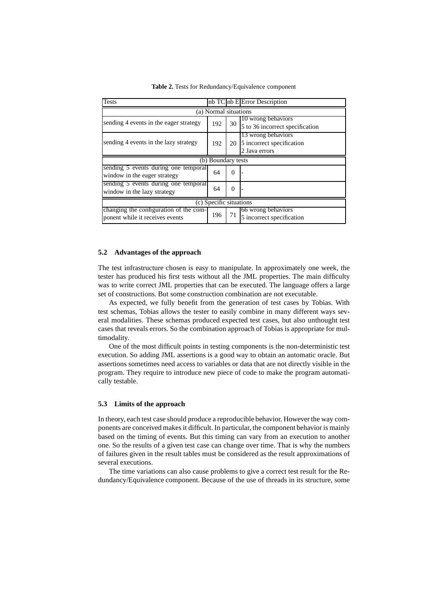| Tests                                                                     |     |          | nb TC nb E Error Description                                     |  |  |
|---------------------------------------------------------------------------|-----|----------|------------------------------------------------------------------|--|--|
| (a) Normal situations                                                     |     |          |                                                                  |  |  |
| sending 4 events in the eager strategy                                    | 192 | 30       | 10 wrong behaviors<br>5 to 36 incorrect specification            |  |  |
| sending 4 events in the lazy strategy                                     | 192 | 20       | 13 wrong behaviors<br>5 incorrect specification<br>2 Java errors |  |  |
| (b) Boundary tests                                                        |     |          |                                                                  |  |  |
| sending 5 events during one temporal<br>window in the eager strategy      | 64  | $\Omega$ |                                                                  |  |  |
| sending 5 events during one temporal<br>window in the lazy strategy       | 64  | $\Omega$ |                                                                  |  |  |
| (c) Specific situations                                                   |     |          |                                                                  |  |  |
| changing the configuration of the com-<br>ponent while it receives events | 196 | 71       | 66 wrong behaviors<br>5 incorrect specification                  |  |  |

**Table 2.** Tests for Redundancy/Equivalence component

#### **5.2 Advantages of the approach**

The test infrastructure chosen is easy to manipulate. In approximately one week, the tester has produced his first tests without all the JML properties. The main difficulty was to write correct JML properties that can be executed. The language offers a large set of constructions. But some construction combination are not executable.

As expected, we fully benefit from the generation of test cases by Tobias. With test schemas, Tobias allows the tester to easily combine in many different ways several modalities. These schemas produced expected test cases, but also unthought test cases that reveals errors. So the combination approach of Tobias is appropriate for multimodality.

One of the most difficult points in testing components is the non-deterministic test execution. So adding JML assertions is a good way to obtain an automatic oracle. But assertions sometimes need access to variables or data that are not directly visible in the program. They require to introduce new piece of code to make the program automatically testable.

#### **5.3 Limits of the approach**

In theory, each test case should produce a reproducible behavior. However the way components are conceived makes it difficult. In particular, the component behavior is mainly based on the timing of events. But this timing can vary from an execution to another one. So the results of a given test case can change over time. That is why the numbers of failures given in the result tables must be considered as the result approximations of several executions.

The time variations can also cause problems to give a correct test result for the Redundancy/Equivalence component. Because of the use of threads in its structure, some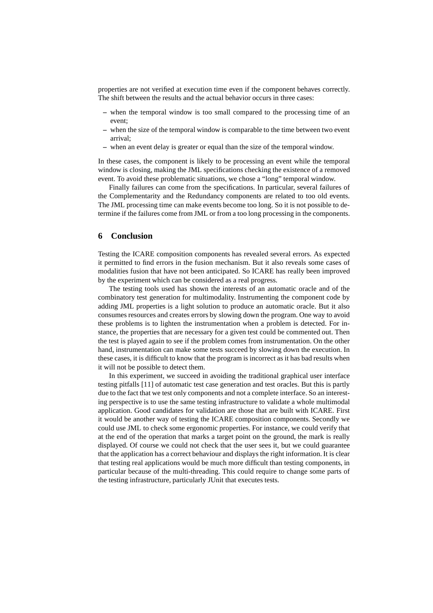properties are not verified at execution time even if the component behaves correctly. The shift between the results and the actual behavior occurs in three cases:

- **–** when the temporal window is too small compared to the processing time of an event;
- when the size of the temporal window is comparable to the time between two event arrival;
- when an event delay is greater or equal than the size of the temporal window.

In these cases, the component is likely to be processing an event while the temporal window is closing, making the JML specifications checking the existence of a removed event. To avoid these problematic situations, we chose a "long" temporal window.

Finally failures can come from the specifications. In particular, several failures of the Complementarity and the Redundancy components are related to too old events. The JML processing time can make events become too long. So it is not possible to determine if the failures come from JML or from a too long processing in the components.

### **6 Conclusion**

Testing the ICARE composition components has revealed several errors. As expected it permitted to find errors in the fusion mechanism. But it also reveals some cases of modalities fusion that have not been anticipated. So ICARE has really been improved by the experiment which can be considered as a real progress.

The testing tools used has shown the interests of an automatic oracle and of the combinatory test generation for multimodality. Instrumenting the component code by adding JML properties is a light solution to produce an automatic oracle. But it also consumes resources and creates errors by slowing down the program. One way to avoid these problems is to lighten the instrumentation when a problem is detected. For instance, the properties that are necessary for a given test could be commented out. Then the test is played again to see if the problem comes from instrumentation. On the other hand, instrumentation can make some tests succeed by slowing down the execution. In these cases, it is difficult to know that the program is incorrect as it has bad results when it will not be possible to detect them.

In this experiment, we succeed in avoiding the traditional graphical user interface testing pitfalls [11] of automatic test case generation and test oracles. But this is partly due to the fact that we test only components and not a complete interface. So an interesting perspective is to use the same testing infrastructure to validate a whole multimodal application. Good candidates for validation are those that are built with ICARE. First it would be another way of testing the ICARE composition components. Secondly we could use JML to check some ergonomic properties. For instance, we could verify that at the end of the operation that marks a target point on the ground, the mark is really displayed. Of course we could not check that the user sees it, but we could guarantee that the application has a correct behaviour and displays the right information. It is clear that testing real applications would be much more difficult than testing components, in particular because of the multi-threading. This could require to change some parts of the testing infrastructure, particularly JUnit that executes tests.